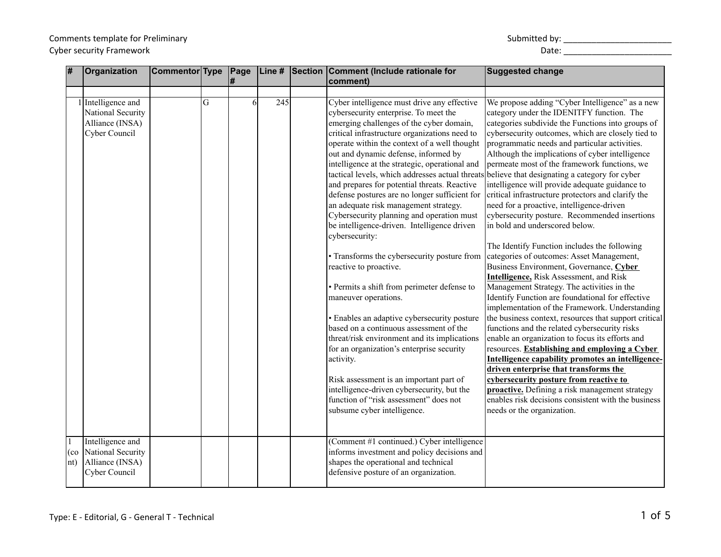#### Comments template for Preliminary North Comments template for Preliminary Submitted by: \_\_\_\_\_\_\_\_\_\_\_\_\_\_\_\_\_\_\_\_\_\_\_\_\_\_\_\_\_ Cyber security Framework and the control of the control of the control of the control of the control of the control of the control of the control of the control of the control of the control of the control of the control o

| Ħ                              | Organization                                                                | <b>Commentor Type</b> |   | Page<br># | Line #           | Section | Comment (Include rationale for<br>comment)                                                                                                                                                                                                                                                                                                                                                                                                                                                                                                                                                                                                                                                                                                                                                                                                                                                                                                                                                                                                                                                                                                                                                                 | <b>Suggested change</b>                                                                                                                                                                                                                                                                                                                                                                                                                                                                                                                                                                                                                                                                                                                                                                                                                                                                                                                                                                                                                                                                                                                                                                                                                                                                                                                                                                                                                       |
|--------------------------------|-----------------------------------------------------------------------------|-----------------------|---|-----------|------------------|---------|------------------------------------------------------------------------------------------------------------------------------------------------------------------------------------------------------------------------------------------------------------------------------------------------------------------------------------------------------------------------------------------------------------------------------------------------------------------------------------------------------------------------------------------------------------------------------------------------------------------------------------------------------------------------------------------------------------------------------------------------------------------------------------------------------------------------------------------------------------------------------------------------------------------------------------------------------------------------------------------------------------------------------------------------------------------------------------------------------------------------------------------------------------------------------------------------------------|-----------------------------------------------------------------------------------------------------------------------------------------------------------------------------------------------------------------------------------------------------------------------------------------------------------------------------------------------------------------------------------------------------------------------------------------------------------------------------------------------------------------------------------------------------------------------------------------------------------------------------------------------------------------------------------------------------------------------------------------------------------------------------------------------------------------------------------------------------------------------------------------------------------------------------------------------------------------------------------------------------------------------------------------------------------------------------------------------------------------------------------------------------------------------------------------------------------------------------------------------------------------------------------------------------------------------------------------------------------------------------------------------------------------------------------------------|
|                                | 1 Intelligence and<br>National Security<br>Alliance (INSA)<br>Cyber Council |                       | G |           | $\overline{245}$ |         | Cyber intelligence must drive any effective<br>cybersecurity enterprise. To meet the<br>emerging challenges of the cyber domain,<br>critical infrastructure organizations need to<br>operate within the context of a well thought<br>out and dynamic defense, informed by<br>intelligence at the strategic, operational and<br>tactical levels, which addresses actual threats believe that designating a category for cyber<br>and prepares for potential threats. Reactive<br>defense postures are no longer sufficient for<br>an adequate risk management strategy.<br>Cybersecurity planning and operation must<br>be intelligence-driven. Intelligence driven<br>cybersecurity:<br>• Transforms the cybersecurity posture from<br>reactive to proactive.<br>• Permits a shift from perimeter defense to<br>maneuver operations.<br>• Enables an adaptive cybersecurity posture<br>based on a continuous assessment of the<br>threat/risk environment and its implications<br>for an organization's enterprise security<br>activity.<br>Risk assessment is an important part of<br>intelligence-driven cybersecurity, but the<br>function of "risk assessment" does not<br>subsume cyber intelligence. | We propose adding "Cyber Intelligence" as a new<br>category under the IDENITFY function. The<br>categories subdivide the Functions into groups of<br>cybersecurity outcomes, which are closely tied to<br>programmatic needs and particular activities.<br>Although the implications of cyber intelligence<br>permeate most of the framework functions, we<br>intelligence will provide adequate guidance to<br>critical infrastructure protectors and clarify the<br>need for a proactive, intelligence-driven<br>cybersecurity posture. Recommended insertions<br>in bold and underscored below.<br>The Identify Function includes the following<br>categories of outcomes: Asset Management,<br>Business Environment, Governance, Cyber<br><b>Intelligence, Risk Assessment, and Risk</b><br>Management Strategy. The activities in the<br>Identify Function are foundational for effective<br>implementation of the Framework. Understanding<br>the business context, resources that support critical<br>functions and the related cybersecurity risks<br>enable an organization to focus its efforts and<br>resources. Establishing and employing a Cyber<br>Intelligence capability promotes an intelligence-<br>driven enterprise that transforms the<br>cybersecurity posture from reactive to<br>proactive. Defining a risk management strategy<br>enables risk decisions consistent with the business<br>needs or the organization. |
| $\vert$ 1<br>  (co<br>$\ln(t)$ | Intelligence and<br>National Security<br>Alliance (INSA)<br>Cyber Council   |                       |   |           |                  |         | (Comment #1 continued.) Cyber intelligence<br>informs investment and policy decisions and<br>shapes the operational and technical<br>defensive posture of an organization.                                                                                                                                                                                                                                                                                                                                                                                                                                                                                                                                                                                                                                                                                                                                                                                                                                                                                                                                                                                                                                 |                                                                                                                                                                                                                                                                                                                                                                                                                                                                                                                                                                                                                                                                                                                                                                                                                                                                                                                                                                                                                                                                                                                                                                                                                                                                                                                                                                                                                                               |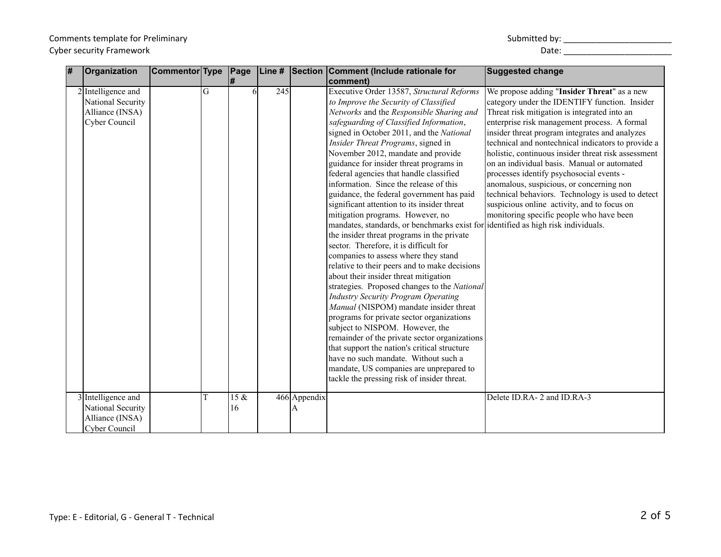# Comments template for Preliminary Comments template for Preliminary and the comments of the limit of the comments template for Preliminary and the comments of the comments of the comments of the comments of the comments of the comments of the comments of

| Submitted by: |  |
|---------------|--|
|---------------|--|

| # | Organization                                                                  | Commentor Type |   | Page       | Line # | Section                        | Comment (Include rationale for                                                                                                                                                                                                                                                                                                                                                                                                                                                                                                                                                                                                                                                                                                                                                                                                                                                                                                                                                                                                                                                                                                                                                                                                                                                                                                              | <b>Suggested change</b>                                                                                                                                                                                                                                                                                                                                                                                                                                                                                                                                                                                                                            |
|---|-------------------------------------------------------------------------------|----------------|---|------------|--------|--------------------------------|---------------------------------------------------------------------------------------------------------------------------------------------------------------------------------------------------------------------------------------------------------------------------------------------------------------------------------------------------------------------------------------------------------------------------------------------------------------------------------------------------------------------------------------------------------------------------------------------------------------------------------------------------------------------------------------------------------------------------------------------------------------------------------------------------------------------------------------------------------------------------------------------------------------------------------------------------------------------------------------------------------------------------------------------------------------------------------------------------------------------------------------------------------------------------------------------------------------------------------------------------------------------------------------------------------------------------------------------|----------------------------------------------------------------------------------------------------------------------------------------------------------------------------------------------------------------------------------------------------------------------------------------------------------------------------------------------------------------------------------------------------------------------------------------------------------------------------------------------------------------------------------------------------------------------------------------------------------------------------------------------------|
|   |                                                                               |                |   | #          |        |                                | comment)                                                                                                                                                                                                                                                                                                                                                                                                                                                                                                                                                                                                                                                                                                                                                                                                                                                                                                                                                                                                                                                                                                                                                                                                                                                                                                                                    |                                                                                                                                                                                                                                                                                                                                                                                                                                                                                                                                                                                                                                                    |
|   | $2$ Intelligence and<br>National Security<br>Alliance (INSA)<br>Cyber Council |                | G |            | 245    |                                | Executive Order 13587, Structural Reforms<br>to Improve the Security of Classified<br>Networks and the Responsible Sharing and<br>safeguarding of Classified Information,<br>signed in October 2011, and the National<br>Insider Threat Programs, signed in<br>November 2012, mandate and provide<br>guidance for insider threat programs in<br>federal agencies that handle classified<br>information. Since the release of this<br>guidance, the federal government has paid<br>significant attention to its insider threat<br>mitigation programs. However, no<br>mandates, standards, or benchmarks exist for identified as high risk individuals.<br>the insider threat programs in the private<br>sector. Therefore, it is difficult for<br>companies to assess where they stand<br>relative to their peers and to make decisions<br>about their insider threat mitigation<br>strategies. Proposed changes to the National<br><b>Industry Security Program Operating</b><br>Manual (NISPOM) mandate insider threat<br>programs for private sector organizations<br>subject to NISPOM. However, the<br>remainder of the private sector organizations<br>that support the nation's critical structure<br>have no such mandate. Without such a<br>mandate, US companies are unprepared to<br>tackle the pressing risk of insider threat. | We propose adding "Insider Threat" as a new<br>category under the IDENTIFY function. Insider<br>Threat risk mitigation is integrated into an<br>enterprise risk management process. A formal<br>insider threat program integrates and analyzes<br>technical and nontechnical indicators to provide a<br>holistic, continuous insider threat risk assessment<br>on an individual basis. Manual or automated<br>processes identify psychosocial events -<br>anomalous, suspicious, or concerning non<br>technical behaviors. Technology is used to detect<br>suspicious online activity, and to focus on<br>monitoring specific people who have been |
|   | 3 Intelligence and<br>National Security                                       |                |   | 15 &<br>16 |        | $\overline{466}$ Appendix<br>Α |                                                                                                                                                                                                                                                                                                                                                                                                                                                                                                                                                                                                                                                                                                                                                                                                                                                                                                                                                                                                                                                                                                                                                                                                                                                                                                                                             | Delete ID.RA-2 and ID.RA-3                                                                                                                                                                                                                                                                                                                                                                                                                                                                                                                                                                                                                         |
|   | Alliance (INSA)                                                               |                |   |            |        |                                |                                                                                                                                                                                                                                                                                                                                                                                                                                                                                                                                                                                                                                                                                                                                                                                                                                                                                                                                                                                                                                                                                                                                                                                                                                                                                                                                             |                                                                                                                                                                                                                                                                                                                                                                                                                                                                                                                                                                                                                                                    |
|   | Cyber Council                                                                 |                |   |            |        |                                |                                                                                                                                                                                                                                                                                                                                                                                                                                                                                                                                                                                                                                                                                                                                                                                                                                                                                                                                                                                                                                                                                                                                                                                                                                                                                                                                             |                                                                                                                                                                                                                                                                                                                                                                                                                                                                                                                                                                                                                                                    |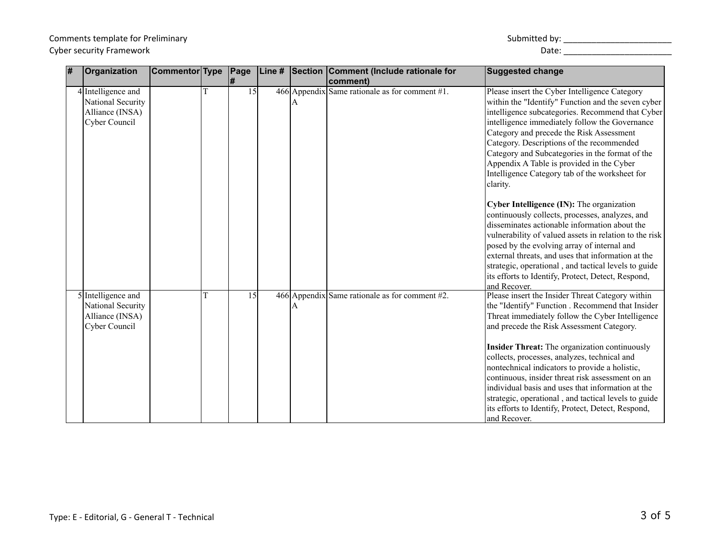### Comments template for Preliminary<br>Cyber security Framework Cyber security Framework and the control of the control of the control of the control of the control of the control of the control of the control of the control of the control of the control of the control of the control o

| Submitted by: |  |
|---------------|--|
|---------------|--|

| # | Organization                                                                | Commentor Type |   | Page<br>l# | Line # | Section | Comment (Include rationale for<br>comment)        | <b>Suggested change</b>                                                                                                                                                                                                                                                                                                                                                                                                                                                                                                                                                                                                                                                                                                                                                                                                                                                                                        |
|---|-----------------------------------------------------------------------------|----------------|---|------------|--------|---------|---------------------------------------------------|----------------------------------------------------------------------------------------------------------------------------------------------------------------------------------------------------------------------------------------------------------------------------------------------------------------------------------------------------------------------------------------------------------------------------------------------------------------------------------------------------------------------------------------------------------------------------------------------------------------------------------------------------------------------------------------------------------------------------------------------------------------------------------------------------------------------------------------------------------------------------------------------------------------|
|   | 4 Intelligence and<br>National Security<br>Alliance (INSA)<br>Cyber Council |                | T | 15         |        | А       | 466 Appendix Same rationale as for comment $#1$ . | Please insert the Cyber Intelligence Category<br>within the "Identify" Function and the seven cyber<br>intelligence subcategories. Recommend that Cyber<br>intelligence immediately follow the Governance<br>Category and precede the Risk Assessment<br>Category. Descriptions of the recommended<br>Category and Subcategories in the format of the<br>Appendix A Table is provided in the Cyber<br>Intelligence Category tab of the worksheet for<br>clarity.<br>Cyber Intelligence (IN): The organization<br>continuously collects, processes, analyzes, and<br>disseminates actionable information about the<br>vulnerability of valued assets in relation to the risk<br>posed by the evolving array of internal and<br>external threats, and uses that information at the<br>strategic, operational, and tactical levels to guide<br>its efforts to Identify, Protect, Detect, Respond,<br>and Recover. |
|   | 5 Intelligence and<br>National Security<br>Alliance (INSA)<br>Cyber Council |                | T | 15         |        | А       | 466 Appendix Same rationale as for comment #2.    | Please insert the Insider Threat Category within<br>the "Identify" Function . Recommend that Insider<br>Threat immediately follow the Cyber Intelligence<br>and precede the Risk Assessment Category.<br><b>Insider Threat:</b> The organization continuously<br>collects, processes, analyzes, technical and<br>nontechnical indicators to provide a holistic,<br>continuous, insider threat risk assessment on an<br>individual basis and uses that information at the<br>strategic, operational, and tactical levels to guide<br>its efforts to Identify, Protect, Detect, Respond,<br>and Recover.                                                                                                                                                                                                                                                                                                         |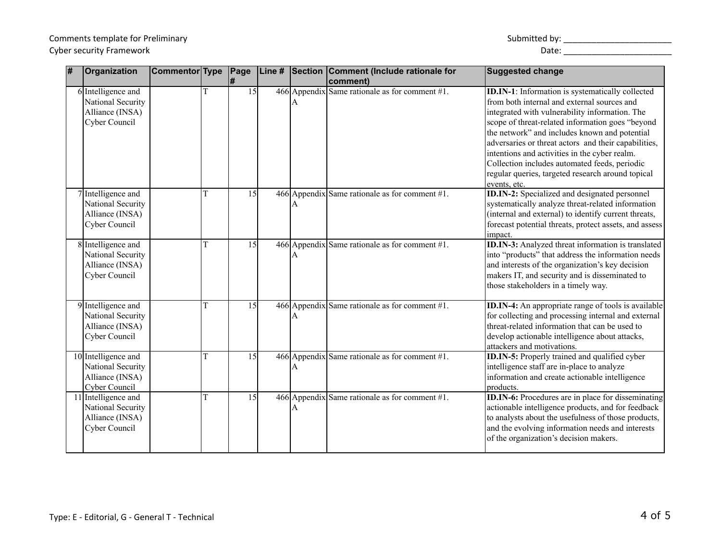# Comments template for Preliminary Cyber security Framework Date: \_\_\_\_\_\_\_\_\_\_\_\_\_\_\_\_\_\_\_\_\_\_\_

| Submitted by: |  |
|---------------|--|
|---------------|--|

| l# | Organization                                                                 | Commentor Type |   | Page<br>l#      |   | Line # Section Comment (Include rationale for<br>comment) | <b>Suggested change</b>                                                                                                                                                                                                                                                                                                                                                                                                                                                                      |
|----|------------------------------------------------------------------------------|----------------|---|-----------------|---|-----------------------------------------------------------|----------------------------------------------------------------------------------------------------------------------------------------------------------------------------------------------------------------------------------------------------------------------------------------------------------------------------------------------------------------------------------------------------------------------------------------------------------------------------------------------|
|    | 6 Intelligence and<br>National Security<br>Alliance (INSA)<br>Cyber Council  |                | T | 15              | A | 466 Appendix Same rationale as for comment #1.            | <b>ID.IN-1:</b> Information is systematically collected<br>from both internal and external sources and<br>integrated with vulnerability information. The<br>scope of threat-related information goes "beyond<br>the network" and includes known and potential<br>adversaries or threat actors and their capabilities,<br>intentions and activities in the cyber realm.<br>Collection includes automated feeds, periodic<br>regular queries, targeted research around topical<br>events, etc. |
|    | 7 Intelligence and<br>National Security<br>Alliance (INSA)<br>Cyber Council  |                | T | 15              | A | 466 Appendix Same rationale as for comment $#1$ .         | <b>ID.IN-2:</b> Specialized and designated personnel<br>systematically analyze threat-related information<br>(internal and external) to identify current threats,<br>forecast potential threats, protect assets, and assess<br>impact.                                                                                                                                                                                                                                                       |
|    | 8 Intelligence and<br>National Security<br>Alliance (INSA)<br>Cyber Council  |                | T | $\overline{15}$ | A | 466 Appendix Same rationale as for comment $#1$ .         | <b>ID.IN-3:</b> Analyzed threat information is translated<br>into "products" that address the information needs<br>and interests of the organization's key decision<br>makers IT, and security and is disseminated to<br>those stakeholders in a timely way.                                                                                                                                                                                                                                 |
|    | 9 Intelligence and<br>National Security<br>Alliance (INSA)<br>Cyber Council  |                | T | 15              | A | 466 Appendix Same rationale as for comment #1.            | ID.IN-4: An appropriate range of tools is available<br>for collecting and processing internal and external<br>threat-related information that can be used to<br>develop actionable intelligence about attacks,<br>attackers and motivations.                                                                                                                                                                                                                                                 |
|    | 10 Intelligence and<br>National Security<br>Alliance (INSA)<br>Cyber Council |                | T | 15              | A | 466 Appendix Same rationale as for comment $#1$ .         | ID.IN-5: Properly trained and qualified cyber<br>intelligence staff are in-place to analyze<br>information and create actionable intelligence<br>products.                                                                                                                                                                                                                                                                                                                                   |
|    | 11 Intelligence and<br>National Security<br>Alliance (INSA)<br>Cyber Council |                | T | 15              | A | 466 Appendix Same rationale as for comment $#1$ .         | <b>ID.IN-6:</b> Procedures are in place for disseminating<br>actionable intelligence products, and for feedback<br>to analysts about the usefulness of those products,<br>and the evolving information needs and interests<br>of the organization's decision makers.                                                                                                                                                                                                                         |